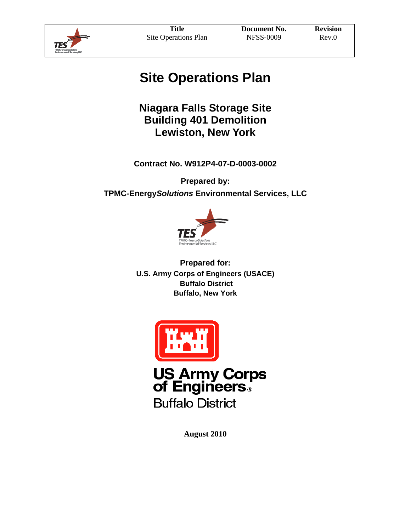

# **Site Operations Plan**

### **Niagara Falls Storage Site Building 401 Demolition Lewiston, New York**

**Contract No. W912P4-07-D-0003-0002** 

**Prepared by: TPMC-Energy***Solutions* **Environmental Services, LLC** 



**Prepared for: U.S. Army Corps of Engineers (USACE) Buffalo District Buffalo, New York** 



**US Army Corps of Engineers** 

**Buffalo District** 

**August 2010**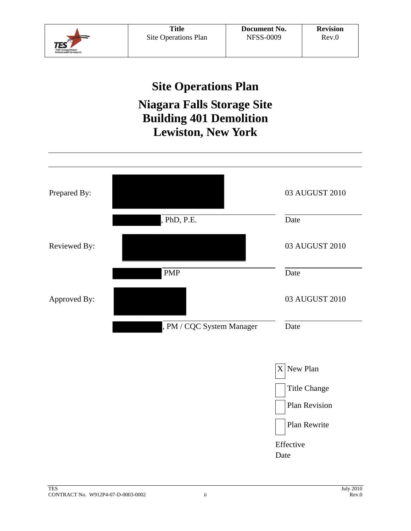

# **Site Operations Plan**

## **Niagara Falls Storage Site Building 401 Demolition Lewiston, New York**

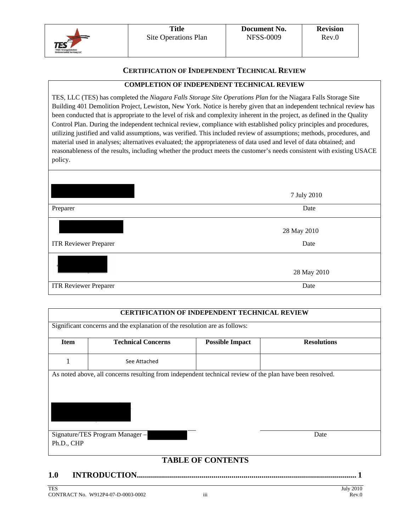

#### **CERTIFICATION OF INDEPENDENT TECHNICAL REVIEW**

#### **COMPLETION OF INDEPENDENT TECHNICAL REVIEW**

TES, LLC (TES) has completed the *Niagara Falls Storage Site Operations Plan* for the Niagara Falls Storage Site Building 401 Demolition Project, Lewiston, New York. Notice is hereby given that an independent technical review has been conducted that is appropriate to the level of risk and complexity inherent in the project, as defined in the Quality Control Plan. During the independent technical review, compliance with established policy principles and procedures, utilizing justified and valid assumptions, was verified. This included review of assumptions; methods, procedures, and material used in analyses; alternatives evaluated; the appropriateness of data used and level of data obtained; and reasonableness of the results, including whether the product meets the customer's needs consistent with existing USACE policy.

|                              | 7 July 2010         |
|------------------------------|---------------------|
| Preparer                     | Date                |
| <b>ITR Reviewer Preparer</b> | 28 May 2010<br>Date |
|                              | 28 May 2010         |
| <b>ITR Reviewer Preparer</b> | Date                |

# **CERTIFICATION OF INDEPENDENT TECHNICAL REVIEW** Significant concerns and the explanation of the resolution are as follows: **Item Technical Concerns Possible Impact Resolutions**  1 See Attached As noted above, all concerns resulting from independent technical review of the plan have been resolved. Signature/TES Program Manager – Ph.D., CHP Date

### **TABLE OF CONTENTS**

**1.0 INTRODUCTION............................................................................................................. 1**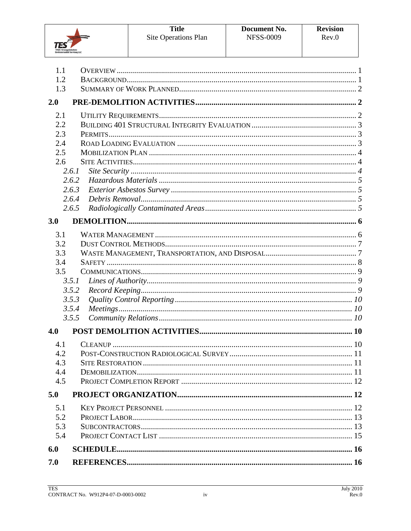

| 1.1 |       |  |
|-----|-------|--|
| 1.2 |       |  |
| 1.3 |       |  |
| 2.0 |       |  |
| 2.1 |       |  |
| 2.2 |       |  |
| 2.3 |       |  |
| 2.4 |       |  |
| 2.5 |       |  |
| 2.6 |       |  |
|     | 2.6.1 |  |
|     | 2.6.2 |  |
|     | 2.6.3 |  |
|     | 2.6.4 |  |
|     | 2.6.5 |  |
| 3.0 |       |  |
| 3.1 |       |  |
| 3.2 |       |  |
| 3.3 |       |  |
| 3.4 |       |  |
| 3.5 |       |  |
|     | 3.5.1 |  |
|     | 3.5.2 |  |
|     | 3.5.3 |  |
|     | 3.5.4 |  |
|     | 3.5.5 |  |
| 4.0 |       |  |
| 4.1 |       |  |
| 4.2 |       |  |
| 4.3 |       |  |
| 4.4 |       |  |
| 4.5 |       |  |
| 5.0 |       |  |
| 5.1 |       |  |
| 5.2 |       |  |
| 5.3 |       |  |
| 5.4 |       |  |
| 6.0 |       |  |
|     |       |  |
| 7.0 |       |  |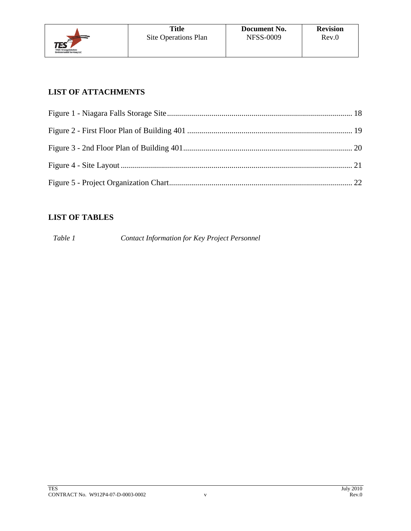

### **LIST OF ATTACHMENTS**

### **LIST OF TABLES**

*Table 1 Contact Information for Key Project Personnel*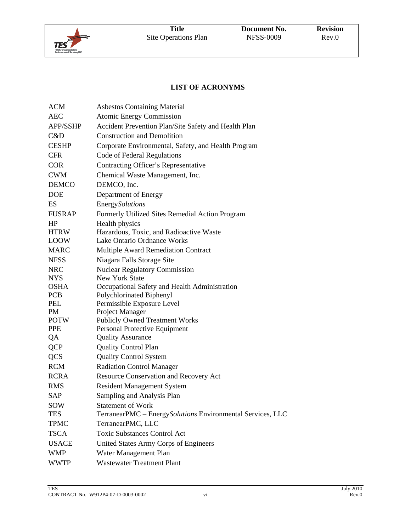

### **LIST OF ACRONYMS**

| ACM             | <b>Asbestos Containing Material</b>                         |
|-----------------|-------------------------------------------------------------|
| <b>AEC</b>      | <b>Atomic Energy Commission</b>                             |
| <b>APP/SSHP</b> | Accident Prevention Plan/Site Safety and Health Plan        |
| C&D             | <b>Construction and Demolition</b>                          |
| <b>CESHP</b>    | Corporate Environmental, Safety, and Health Program         |
| <b>CFR</b>      | Code of Federal Regulations                                 |
| <b>COR</b>      | Contracting Officer's Representative                        |
| <b>CWM</b>      | Chemical Waste Management, Inc.                             |
| <b>DEMCO</b>    | DEMCO, Inc.                                                 |
| <b>DOE</b>      | Department of Energy                                        |
| ES              | <b>EnergySolutions</b>                                      |
| <b>FUSRAP</b>   | Formerly Utilized Sites Remedial Action Program             |
| HP              | Health physics                                              |
| <b>HTRW</b>     | Hazardous, Toxic, and Radioactive Waste                     |
| <b>LOOW</b>     | Lake Ontario Ordnance Works                                 |
| <b>MARC</b>     | <b>Multiple Award Remediation Contract</b>                  |
| <b>NFSS</b>     | Niagara Falls Storage Site                                  |
| <b>NRC</b>      | <b>Nuclear Regulatory Commission</b>                        |
| <b>NYS</b>      | <b>New York State</b>                                       |
| <b>OSHA</b>     | Occupational Safety and Health Administration               |
| <b>PCB</b>      | Polychlorinated Biphenyl                                    |
| PEL             | Permissible Exposure Level                                  |
| PM              | Project Manager                                             |
| <b>POTW</b>     | <b>Publicly Owned Treatment Works</b>                       |
| <b>PPE</b>      | Personal Protective Equipment                               |
| QA              | <b>Quality Assurance</b>                                    |
| <b>QCP</b>      | <b>Quality Control Plan</b>                                 |
| <b>QCS</b>      | <b>Quality Control System</b>                               |
| <b>RCM</b>      | <b>Radiation Control Manager</b>                            |
| <b>RCRA</b>     | <b>Resource Conservation and Recovery Act</b>               |
| <b>RMS</b>      | <b>Resident Management System</b>                           |
| SAP             | Sampling and Analysis Plan                                  |
| <b>SOW</b>      | <b>Statement of Work</b>                                    |
| TES             | TerranearPMC - Energy Solutions Environmental Services, LLC |
| <b>TPMC</b>     | TerranearPMC, LLC                                           |
| <b>TSCA</b>     | <b>Toxic Substances Control Act</b>                         |
| <b>USACE</b>    | United States Army Corps of Engineers                       |
| <b>WMP</b>      | Water Management Plan                                       |
| <b>WWTP</b>     | <b>Wastewater Treatment Plant</b>                           |
|                 |                                                             |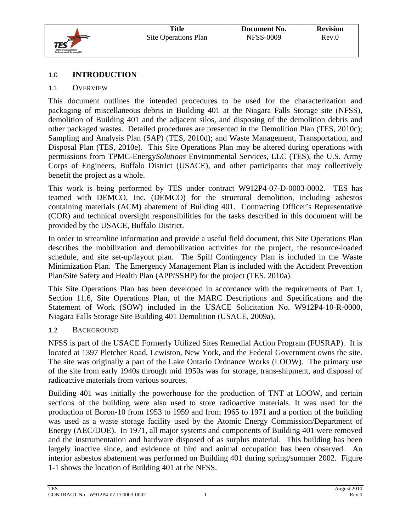

### 1.0 **INTRODUCTION**

### 1.1 OVERVIEW

This document outlines the intended procedures to be used for the characterization and packaging of miscellaneous debris in Building 401 at the Niagara Falls Storage site (NFSS), demolition of Building 401 and the adjacent silos, and disposing of the demolition debris and other packaged wastes. Detailed procedures are presented in the Demolition Plan (TES, 2010c); Sampling and Analysis Plan (SAP) (TES, 2010d); and Waste Management, Transportation, and Disposal Plan (TES, 2010e). This Site Operations Plan may be altered during operations with permissions from TPMC-Energy*Solutions* Environmental Services, LLC (TES), the U.S. Army Corps of Engineers, Buffalo District (USACE), and other participants that may collectively benefit the project as a whole.

This work is being performed by TES under contract W912P4-07-D-0003-0002. TES has teamed with DEMCO, Inc. (DEMCO) for the structural demolition, including asbestos containing materials (ACM) abatement of Building 401. Contracting Officer's Representative (COR) and technical oversight responsibilities for the tasks described in this document will be provided by the USACE, Buffalo District.

In order to streamline information and provide a useful field document, this Site Operations Plan describes the mobilization and demobilization activities for the project, the resource-loaded schedule, and site set-up/layout plan. The Spill Contingency Plan is included in the Waste Minimization Plan. The Emergency Management Plan is included with the Accident Prevention Plan/Site Safety and Health Plan (APP/SSHP) for the project (TES, 2010a).

This Site Operations Plan has been developed in accordance with the requirements of Part 1, Section 11.6, Site Operations Plan, of the MARC Descriptions and Specifications and the Statement of Work (SOW) included in the USACE Solicitation No. W912P4-10-R-0000, Niagara Falls Storage Site Building 401 Demolition (USACE, 2009a).

### 1.2 BACKGROUND

NFSS is part of the USACE Formerly Utilized Sites Remedial Action Program (FUSRAP). It is located at 1397 Pletcher Road, Lewiston, New York, and the Federal Government owns the site. The site was originally a part of the Lake Ontario Ordnance Works (LOOW). The primary use of the site from early 1940s through mid 1950s was for storage, trans-shipment, and disposal of radioactive materials from various sources.

Building 401 was initially the powerhouse for the production of TNT at LOOW, and certain sections of the building were also used to store radioactive materials. It was used for the production of Boron-10 from 1953 to 1959 and from 1965 to 1971 and a portion of the building was used as a waste storage facility used by the Atomic Energy Commission/Department of Energy (AEC/DOE). In 1971, all major systems and components of Building 401 were removed and the instrumentation and hardware disposed of as surplus material. This building has been largely inactive since, and evidence of bird and animal occupation has been observed. An interior asbestos abatement was performed on Building 401 during spring/summer 2002. Figure 1-1 shows the location of Building 401 at the NFSS.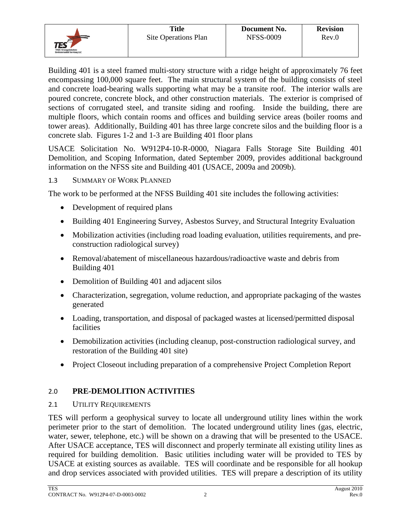

Building 401 is a steel framed multi-story structure with a ridge height of approximately 76 feet encompassing 100,000 square feet. The main structural system of the building consists of steel and concrete load-bearing walls supporting what may be a transite roof. The interior walls are poured concrete, concrete block, and other construction materials. The exterior is comprised of sections of corrugated steel, and transite siding and roofing. Inside the building, there are multiple floors, which contain rooms and offices and building service areas (boiler rooms and tower areas). Additionally, Building 401 has three large concrete silos and the building floor is a concrete slab. Figures 1-2 and 1-3 are Building 401 floor plans

USACE Solicitation No. W912P4-10-R-0000, Niagara Falls Storage Site Building 401 Demolition, and Scoping Information, dated September 2009, provides additional background information on the NFSS site and Building 401 (USACE, 2009a and 2009b).

### 1.3 SUMMARY OF WORK PLANNED

The work to be performed at the NFSS Building 401 site includes the following activities:

- Development of required plans
- Building 401 Engineering Survey, Asbestos Survey, and Structural Integrity Evaluation
- Mobilization activities (including road loading evaluation, utilities requirements, and preconstruction radiological survey)
- Removal/abatement of miscellaneous hazardous/radioactive waste and debris from Building 401
- Demolition of Building 401 and adjacent silos
- Characterization, segregation, volume reduction, and appropriate packaging of the wastes generated
- Loading, transportation, and disposal of packaged wastes at licensed/permitted disposal facilities
- Demobilization activities (including cleanup, post-construction radiological survey, and restoration of the Building 401 site)
- Project Closeout including preparation of a comprehensive Project Completion Report

### 2.0 **PRE-DEMOLITION ACTIVITIES**

### 2.1 UTILITY REQUIREMENTS

TES will perform a geophysical survey to locate all underground utility lines within the work perimeter prior to the start of demolition. The located underground utility lines (gas, electric, water, sewer, telephone, etc.) will be shown on a drawing that will be presented to the USACE. After USACE acceptance, TES will disconnect and properly terminate all existing utility lines as required for building demolition. Basic utilities including water will be provided to TES by USACE at existing sources as available. TES will coordinate and be responsible for all hookup and drop services associated with provided utilities. TES will prepare a description of its utility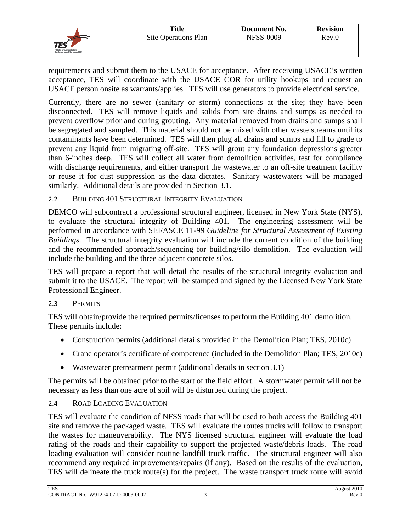

requirements and submit them to the USACE for acceptance. After receiving USACE's written acceptance, TES will coordinate with the USACE COR for utility hookups and request an USACE person onsite as warrants/applies. TES will use generators to provide electrical service.

Currently, there are no sewer (sanitary or storm) connections at the site; they have been disconnected. TES will remove liquids and solids from site drains and sumps as needed to prevent overflow prior and during grouting. Any material removed from drains and sumps shall be segregated and sampled. This material should not be mixed with other waste streams until its contaminants have been determined. TES will then plug all drains and sumps and fill to grade to prevent any liquid from migrating off-site. TES will grout any foundation depressions greater than 6-inches deep. TES will collect all water from demolition activities, test for compliance with discharge requirements, and either transport the wastewater to an off-site treatment facility or reuse it for dust suppression as the data dictates. Sanitary wastewaters will be managed similarly. Additional details are provided in Section 3.1.

### 2.2 BUILDING 401 STRUCTURAL INTEGRITY EVALUATION

DEMCO will subcontract a professional structural engineer, licensed in New York State (NYS), to evaluate the structural integrity of Building 401. The engineering assessment will be performed in accordance with SEI/ASCE 11-99 *Guideline for Structural Assessment of Existing Buildings*. The structural integrity evaluation will include the current condition of the building and the recommended approach/sequencing for building/silo demolition. The evaluation will include the building and the three adjacent concrete silos.

TES will prepare a report that will detail the results of the structural integrity evaluation and submit it to the USACE. The report will be stamped and signed by the Licensed New York State Professional Engineer.

### 2.3 PERMITS

TES will obtain/provide the required permits/licenses to perform the Building 401 demolition. These permits include:

- Construction permits (additional details provided in the Demolition Plan; TES, 2010c)
- Crane operator's certificate of competence (included in the Demolition Plan; TES, 2010c)
- Wastewater pretreatment permit (additional details in section 3.1)

The permits will be obtained prior to the start of the field effort. A stormwater permit will not be necessary as less than one acre of soil will be disturbed during the project.

### 2.4 ROAD LOADING EVALUATION

TES will evaluate the condition of NFSS roads that will be used to both access the Building 401 site and remove the packaged waste. TES will evaluate the routes trucks will follow to transport the wastes for maneuverability. The NYS licensed structural engineer will evaluate the load rating of the roads and their capability to support the projected waste/debris loads. The road loading evaluation will consider routine landfill truck traffic. The structural engineer will also recommend any required improvements/repairs (if any). Based on the results of the evaluation, TES will delineate the truck route(s) for the project. The waste transport truck route will avoid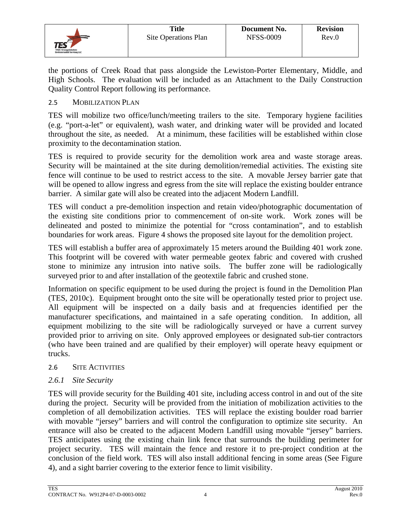

the portions of Creek Road that pass alongside the Lewiston-Porter Elementary, Middle, and High Schools. The evaluation will be included as an Attachment to the Daily Construction Quality Control Report following its performance.

### 2.5 MOBILIZATION PLAN

TES will mobilize two office/lunch/meeting trailers to the site. Temporary hygiene facilities (e.g. "port-a-let" or equivalent), wash water, and drinking water will be provided and located throughout the site, as needed. At a minimum, these facilities will be established within close proximity to the decontamination station.

TES is required to provide security for the demolition work area and waste storage areas. Security will be maintained at the site during demolition/remedial activities. The existing site fence will continue to be used to restrict access to the site. A movable Jersey barrier gate that will be opened to allow ingress and egress from the site will replace the existing boulder entrance barrier. A similar gate will also be created into the adjacent Modern Landfill.

TES will conduct a pre-demolition inspection and retain video/photographic documentation of the existing site conditions prior to commencement of on-site work. Work zones will be delineated and posted to minimize the potential for "cross contamination", and to establish boundaries for work areas. Figure 4 shows the proposed site layout for the demolition project.

TES will establish a buffer area of approximately 15 meters around the Building 401 work zone. This footprint will be covered with water permeable geotex fabric and covered with crushed stone to minimize any intrusion into native soils. The buffer zone will be radiologically surveyed prior to and after installation of the geotextile fabric and crushed stone.

Information on specific equipment to be used during the project is found in the Demolition Plan (TES, 2010c). Equipment brought onto the site will be operationally tested prior to project use. All equipment will be inspected on a daily basis and at frequencies identified per the manufacturer specifications, and maintained in a safe operating condition. In addition, all equipment mobilizing to the site will be radiologically surveyed or have a current survey provided prior to arriving on site. Only approved employees or designated sub-tier contractors (who have been trained and are qualified by their employer) will operate heavy equipment or trucks.

### 2.6 SITE ACTIVITIES

### *2.6.1 Site Security*

TES will provide security for the Building 401 site, including access control in and out of the site during the project. Security will be provided from the initiation of mobilization activities to the completion of all demobilization activities. TES will replace the existing boulder road barrier with movable "jersey" barriers and will control the configuration to optimize site security. An entrance will also be created to the adjacent Modern Landfill using movable "jersey" barriers. TES anticipates using the existing chain link fence that surrounds the building perimeter for project security. TES will maintain the fence and restore it to pre-project condition at the conclusion of the field work. TES will also install additional fencing in some areas (See Figure 4), and a sight barrier covering to the exterior fence to limit visibility.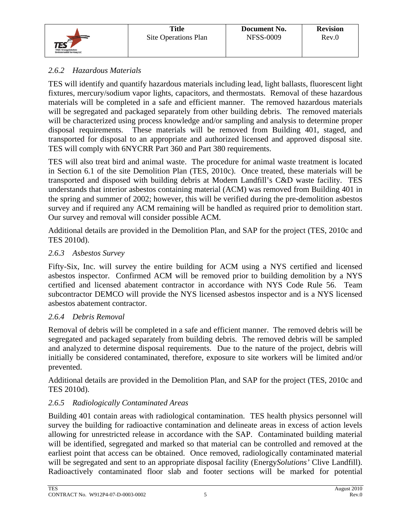

### *2.6.2 Hazardous Materials*

TES will identify and quantify hazardous materials including lead, light ballasts, fluorescent light fixtures, mercury/sodium vapor lights, capacitors, and thermostats. Removal of these hazardous materials will be completed in a safe and efficient manner. The removed hazardous materials will be segregated and packaged separately from other building debris. The removed materials will be characterized using process knowledge and/or sampling and analysis to determine proper disposal requirements. These materials will be removed from Building 401, staged, and transported for disposal to an appropriate and authorized licensed and approved disposal site. TES will comply with 6NYCRR Part 360 and Part 380 requirements.

TES will also treat bird and animal waste. The procedure for animal waste treatment is located in Section 6.1 of the site Demolition Plan (TES, 2010c). Once treated, these materials will be transported and disposed with building debris at Modern Landfill's C&D waste facility. TES understands that interior asbestos containing material (ACM) was removed from Building 401 in the spring and summer of 2002; however, this will be verified during the pre-demolition asbestos survey and if required any ACM remaining will be handled as required prior to demolition start. Our survey and removal will consider possible ACM.

Additional details are provided in the Demolition Plan, and SAP for the project (TES, 2010c and TES 2010d).

### *2.6.3 Asbestos Survey*

Fifty-Six, Inc. will survey the entire building for ACM using a NYS certified and licensed asbestos inspector. Confirmed ACM will be removed prior to building demolition by a NYS certified and licensed abatement contractor in accordance with NYS Code Rule 56. Team subcontractor DEMCO will provide the NYS licensed asbestos inspector and is a NYS licensed asbestos abatement contractor.

### *2.6.4 Debris Removal*

Removal of debris will be completed in a safe and efficient manner. The removed debris will be segregated and packaged separately from building debris. The removed debris will be sampled and analyzed to determine disposal requirements. Due to the nature of the project, debris will initially be considered contaminated, therefore, exposure to site workers will be limited and/or prevented.

Additional details are provided in the Demolition Plan, and SAP for the project (TES, 2010c and TES 2010d).

### *2.6.5 Radiologically Contaminated Areas*

Building 401 contain areas with radiological contamination. TES health physics personnel will survey the building for radioactive contamination and delineate areas in excess of action levels allowing for unrestricted release in accordance with the SAP. Contaminated building material will be identified, segregated and marked so that material can be controlled and removed at the earliest point that access can be obtained. Once removed, radiologically contaminated material will be segregated and sent to an appropriate disposal facility (Energy*Solutions'* Clive Landfill). Radioactively contaminated floor slab and footer sections will be marked for potential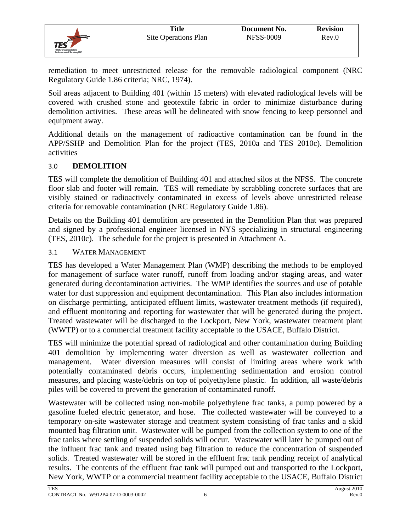remediation to meet unrestricted release for the removable radiological component (NRC Regulatory Guide 1.86 criteria; NRC, 1974).

Soil areas adjacent to Building 401 (within 15 meters) with elevated radiological levels will be covered with crushed stone and geotextile fabric in order to minimize disturbance during demolition activities. These areas will be delineated with snow fencing to keep personnel and equipment away.

Additional details on the management of radioactive contamination can be found in the APP/SSHP and Demolition Plan for the project (TES, 2010a and TES 2010c). Demolition activities

### 3.0 **DEMOLITION**

TES

TES will complete the demolition of Building 401 and attached silos at the NFSS. The concrete floor slab and footer will remain. TES will remediate by scrabbling concrete surfaces that are visibly stained or radioactively contaminated in excess of levels above unrestricted release criteria for removable contamination (NRC Regulatory Guide 1.86).

Details on the Building 401 demolition are presented in the Demolition Plan that was prepared and signed by a professional engineer licensed in NYS specializing in structural engineering (TES, 2010c). The schedule for the project is presented in Attachment A.

### 3.1 WATER MANAGEMENT

TES has developed a Water Management Plan (WMP) describing the methods to be employed for management of surface water runoff, runoff from loading and/or staging areas, and water generated during decontamination activities. The WMP identifies the sources and use of potable water for dust suppression and equipment decontamination. This Plan also includes information on discharge permitting, anticipated effluent limits, wastewater treatment methods (if required), and effluent monitoring and reporting for wastewater that will be generated during the project. Treated wastewater will be discharged to the Lockport, New York, wastewater treatment plant (WWTP) or to a commercial treatment facility acceptable to the USACE, Buffalo District.

TES will minimize the potential spread of radiological and other contamination during Building 401 demolition by implementing water diversion as well as wastewater collection and management. Water diversion measures will consist of limiting areas where work with potentially contaminated debris occurs, implementing sedimentation and erosion control measures, and placing waste/debris on top of polyethylene plastic. In addition, all waste/debris piles will be covered to prevent the generation of contaminated runoff.

Wastewater will be collected using non-mobile polyethylene frac tanks, a pump powered by a gasoline fueled electric generator, and hose. The collected wastewater will be conveyed to a temporary on-site wastewater storage and treatment system consisting of frac tanks and a skid mounted bag filtration unit. Wastewater will be pumped from the collection system to one of the frac tanks where settling of suspended solids will occur. Wastewater will later be pumped out of the influent frac tank and treated using bag filtration to reduce the concentration of suspended solids. Treated wastewater will be stored in the effluent frac tank pending receipt of analytical results. The contents of the effluent frac tank will pumped out and transported to the Lockport, New York, WWTP or a commercial treatment facility acceptable to the USACE, Buffalo District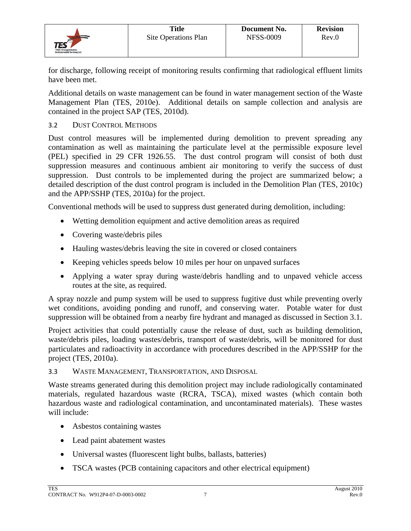

for discharge, following receipt of monitoring results confirming that radiological effluent limits have been met.

Additional details on waste management can be found in water management section of the Waste Management Plan (TES, 2010e). Additional details on sample collection and analysis are contained in the project SAP (TES, 2010d).

### 3.2 DUST CONTROL METHODS

Dust control measures will be implemented during demolition to prevent spreading any contamination as well as maintaining the particulate level at the permissible exposure level (PEL) specified in 29 CFR 1926.55. The dust control program will consist of both dust suppression measures and continuous ambient air monitoring to verify the success of dust suppression. Dust controls to be implemented during the project are summarized below; a detailed description of the dust control program is included in the Demolition Plan (TES, 2010c) and the APP/SSHP (TES, 2010a) for the project.

Conventional methods will be used to suppress dust generated during demolition, including:

- Wetting demolition equipment and active demolition areas as required
- Covering waste/debris piles
- Hauling wastes/debris leaving the site in covered or closed containers
- Keeping vehicles speeds below 10 miles per hour on unpaved surfaces
- Applying a water spray during waste/debris handling and to unpaved vehicle access routes at the site, as required.

A spray nozzle and pump system will be used to suppress fugitive dust while preventing overly wet conditions, avoiding ponding and runoff, and conserving water. Potable water for dust suppression will be obtained from a nearby fire hydrant and managed as discussed in Section 3.1.

Project activities that could potentially cause the release of dust, such as building demolition, waste/debris piles, loading wastes/debris, transport of waste/debris, will be monitored for dust particulates and radioactivity in accordance with procedures described in the APP/SSHP for the project (TES, 2010a).

### 3.3 WASTE MANAGEMENT, TRANSPORTATION, AND DISPOSAL

Waste streams generated during this demolition project may include radiologically contaminated materials, regulated hazardous waste (RCRA, TSCA), mixed wastes (which contain both hazardous waste and radiological contamination, and uncontaminated materials). These wastes will include:

- Asbestos containing wastes
- Lead paint abatement wastes
- Universal wastes (fluorescent light bulbs, ballasts, batteries)
- TSCA wastes (PCB containing capacitors and other electrical equipment)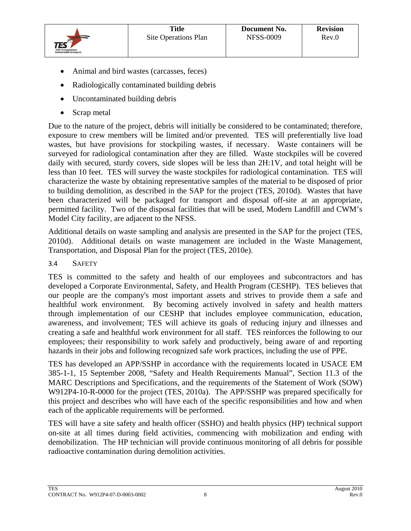

- Animal and bird wastes (carcasses, feces)
- Radiologically contaminated building debris
- Uncontaminated building debris
- Scrap metal

Due to the nature of the project, debris will initially be considered to be contaminated; therefore, exposure to crew members will be limited and/or prevented. TES will preferentially live load wastes, but have provisions for stockpiling wastes, if necessary. Waste containers will be surveyed for radiological contamination after they are filled. Waste stockpiles will be covered daily with secured, sturdy covers, side slopes will be less than 2H:1V, and total height will be less than 10 feet. TES will survey the waste stockpiles for radiological contamination. TES will characterize the waste by obtaining representative samples of the material to be disposed of prior to building demolition, as described in the SAP for the project (TES, 2010d). Wastes that have been characterized will be packaged for transport and disposal off-site at an appropriate, permitted facility. Two of the disposal facilities that will be used, Modern Landfill and CWM's Model City facility, are adjacent to the NFSS.

Additional details on waste sampling and analysis are presented in the SAP for the project (TES, 2010d). Additional details on waste management are included in the Waste Management, Transportation, and Disposal Plan for the project (TES, 2010e).

3.4 SAFETY

TES is committed to the safety and health of our employees and subcontractors and has developed a Corporate Environmental, Safety, and Health Program (CESHP). TES believes that our people are the company's most important assets and strives to provide them a safe and healthful work environment. By becoming actively involved in safety and health matters through implementation of our CESHP that includes employee communication, education, awareness, and involvement; TES will achieve its goals of reducing injury and illnesses and creating a safe and healthful work environment for all staff. TES reinforces the following to our employees; their responsibility to work safely and productively, being aware of and reporting hazards in their jobs and following recognized safe work practices, including the use of PPE.

TES has developed an APP/SSHP in accordance with the requirements located in USACE EM 385-1-1, 15 September 2008, "Safety and Health Requirements Manual", Section 11.3 of the MARC Descriptions and Specifications, and the requirements of the Statement of Work (SOW) W912P4-10-R-0000 for the project (TES, 2010a). The APP/SSHP was prepared specifically for this project and describes who will have each of the specific responsibilities and how and when each of the applicable requirements will be performed.

TES will have a site safety and health officer (SSHO) and health physics (HP) technical support on-site at all times during field activities, commencing with mobilization and ending with demobilization. The HP technician will provide continuous monitoring of all debris for possible radioactive contamination during demolition activities.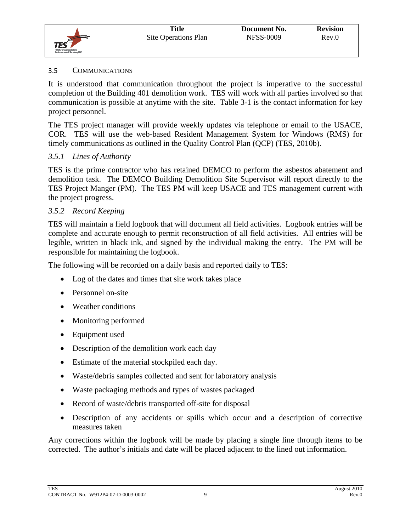

### 3.5 COMMUNICATIONS

It is understood that communication throughout the project is imperative to the successful completion of the Building 401 demolition work. TES will work with all parties involved so that communication is possible at anytime with the site. Table 3-1 is the contact information for key project personnel.

The TES project manager will provide weekly updates via telephone or email to the USACE, COR. TES will use the web-based Resident Management System for Windows (RMS) for timely communications as outlined in the Quality Control Plan (QCP) (TES, 2010b).

### *3.5.1 Lines of Authority*

TES is the prime contractor who has retained DEMCO to perform the asbestos abatement and demolition task. The DEMCO Building Demolition Site Supervisor will report directly to the TES Project Manger (PM). The TES PM will keep USACE and TES management current with the project progress.

### *3.5.2 Record Keeping*

TES will maintain a field logbook that will document all field activities. Logbook entries will be complete and accurate enough to permit reconstruction of all field activities. All entries will be legible, written in black ink, and signed by the individual making the entry. The PM will be responsible for maintaining the logbook.

The following will be recorded on a daily basis and reported daily to TES:

- Log of the dates and times that site work takes place
- Personnel on-site
- Weather conditions
- Monitoring performed
- Equipment used
- Description of the demolition work each day
- Estimate of the material stockpiled each day.
- Waste/debris samples collected and sent for laboratory analysis
- Waste packaging methods and types of wastes packaged
- Record of waste/debris transported off-site for disposal
- Description of any accidents or spills which occur and a description of corrective measures taken

Any corrections within the logbook will be made by placing a single line through items to be corrected. The author's initials and date will be placed adjacent to the lined out information.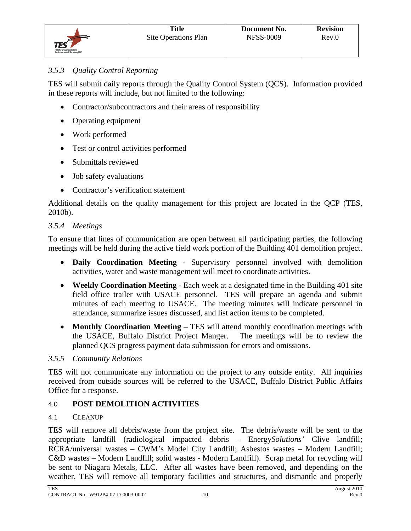TES will submit daily reports through the Quality Control System (QCS). Information provided in these reports will include, but not limited to the following:

- Contractor/subcontractors and their areas of responsibility
- Operating equipment
- Work performed
- Test or control activities performed
- Submittals reviewed
- Job safety evaluations
- Contractor's verification statement

Additional details on the quality management for this project are located in the QCP (TES, 2010b).

### *3.5.4 Meetings*

To ensure that lines of communication are open between all participating parties, the following meetings will be held during the active field work portion of the Building 401 demolition project.

- **Daily Coordination Meeting** Supervisory personnel involved with demolition activities, water and waste management will meet to coordinate activities.
- **Weekly Coordination Meeting** Each week at a designated time in the Building 401 site field office trailer with USACE personnel. TES will prepare an agenda and submit minutes of each meeting to USACE. The meeting minutes will indicate personnel in attendance, summarize issues discussed, and list action items to be completed.
- **Monthly Coordination Meeting**  TES will attend monthly coordination meetings with the USACE, Buffalo District Project Manger. The meetings will be to review the planned QCS progress payment data submission for errors and omissions.

### *3.5.5 Community Relations*

TES will not communicate any information on the project to any outside entity. All inquiries received from outside sources will be referred to the USACE, Buffalo District Public Affairs Office for a response.

### 4.0 **POST DEMOLITION ACTIVITIES**

### 4.1 CLEANUP

TES will remove all debris/waste from the project site. The debris/waste will be sent to the appropriate landfill (radiological impacted debris – Energy*Solutions'* Clive landfill; RCRA/universal wastes – CWM's Model City Landfill; Asbestos wastes – Modern Landfill; C&D wastes – Modern Landfill; solid wastes - Modern Landfill). Scrap metal for recycling will be sent to Niagara Metals, LLC. After all wastes have been removed, and depending on the weather, TES will remove all temporary facilities and structures, and dismantle and properly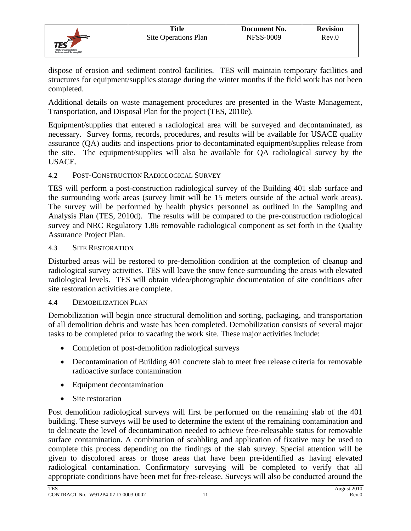

dispose of erosion and sediment control facilities. TES will maintain temporary facilities and structures for equipment/supplies storage during the winter months if the field work has not been completed.

Additional details on waste management procedures are presented in the Waste Management, Transportation, and Disposal Plan for the project (TES, 2010e).

Equipment/supplies that entered a radiological area will be surveyed and decontaminated, as necessary. Survey forms, records, procedures, and results will be available for USACE quality assurance (QA) audits and inspections prior to decontaminated equipment/supplies release from the site. The equipment/supplies will also be available for QA radiological survey by the USACE.

### 4.2 POST-CONSTRUCTION RADIOLOGICAL SURVEY

TES will perform a post-construction radiological survey of the Building 401 slab surface and the surrounding work areas (survey limit will be 15 meters outside of the actual work areas). The survey will be performed by health physics personnel as outlined in the Sampling and Analysis Plan (TES, 2010d). The results will be compared to the pre-construction radiological survey and NRC Regulatory 1.86 removable radiological component as set forth in the Quality Assurance Project Plan.

### 4.3 SITE RESTORATION

Disturbed areas will be restored to pre-demolition condition at the completion of cleanup and radiological survey activities. TES will leave the snow fence surrounding the areas with elevated radiological levels. TES will obtain video/photographic documentation of site conditions after site restoration activities are complete.

### 4.4 DEMOBILIZATION PLAN

Demobilization will begin once structural demolition and sorting, packaging, and transportation of all demolition debris and waste has been completed. Demobilization consists of several major tasks to be completed prior to vacating the work site. These major activities include:

- Completion of post-demolition radiological surveys
- Decontamination of Building 401 concrete slab to meet free release criteria for removable radioactive surface contamination
- Equipment decontamination
- Site restoration

Post demolition radiological surveys will first be performed on the remaining slab of the 401 building. These surveys will be used to determine the extent of the remaining contamination and to delineate the level of decontamination needed to achieve free-releasable status for removable surface contamination. A combination of scabbling and application of fixative may be used to complete this process depending on the findings of the slab survey. Special attention will be given to discolored areas or those areas that have been pre-identified as having elevated radiological contamination. Confirmatory surveying will be completed to verify that all appropriate conditions have been met for free-release. Surveys will also be conducted around the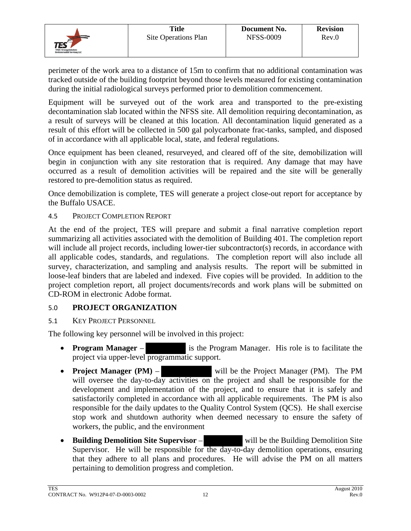

perimeter of the work area to a distance of 15m to confirm that no additional contamination was tracked outside of the building footprint beyond those levels measured for existing contamination during the initial radiological surveys performed prior to demolition commencement.

Equipment will be surveyed out of the work area and transported to the pre-existing decontamination slab located within the NFSS site. All demolition requiring decontamination, as a result of surveys will be cleaned at this location. All decontamination liquid generated as a result of this effort will be collected in 500 gal polycarbonate frac-tanks, sampled, and disposed of in accordance with all applicable local, state, and federal regulations.

Once equipment has been cleaned, resurveyed, and cleared off of the site, demobilization will begin in conjunction with any site restoration that is required. Any damage that may have occurred as a result of demolition activities will be repaired and the site will be generally restored to pre-demolition status as required.

Once demobilization is complete, TES will generate a project close-out report for acceptance by the Buffalo USACE.

### 4.5 PROJECT COMPLETION REPORT

At the end of the project, TES will prepare and submit a final narrative completion report summarizing all activities associated with the demolition of Building 401. The completion report will include all project records, including lower-tier subcontractor(s) records, in accordance with all applicable codes, standards, and regulations. The completion report will also include all survey, characterization, and sampling and analysis results. The report will be submitted in loose-leaf binders that are labeled and indexed. Five copies will be provided. In addition to the project completion report, all project documents/records and work plans will be submitted on CD-ROM in electronic Adobe format.

### 5.0 **PROJECT ORGANIZATION**

### 5.1 KEY PROJECT PERSONNEL

The following key personnel will be involved in this project:

- **Program Manager** is the Program Manager. His role is to facilitate the project via upper-level programmatic support.
- **Project Manager (PM)** will be the Project Manager (PM). The PM will oversee the day-to-day activities on the project and shall be responsible for the development and implementation of the project, and to ensure that it is safely and satisfactorily completed in accordance with all applicable requirements. The PM is also responsible for the daily updates to the Quality Control System (QCS). He shall exercise stop work and shutdown authority when deemed necessary to ensure the safety of workers, the public, and the environment
- Building Demolition Site Supervisor will be the Building Demolition Site Supervisor. He will be responsible for the day-to-day demolition operations, ensuring that they adhere to all plans and procedures. He will advise the PM on all matters pertaining to demolition progress and completion.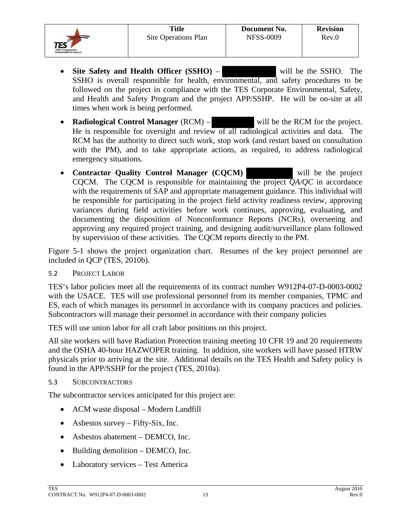- **Site Safety and Health Officer (SSHO)** will be the SSHO. The SSHO is overall responsible for health, environmental, and safety procedures to be followed on the project in compliance with the TES Corporate Environmental, Safety, and Health and Safety Program and the project APP/SSHP. He will be on-site at all times when work is being performed.
- **Radiological Control Manager** (RCM) will be the RCM for the project. He is responsible for oversight and review of all radiological activities and data. The RCM has the authority to direct such work, stop work (and restart based on consultation with the PM), and to take appropriate actions, as required, to address radiological emergency situations.
- **Contractor Quality Control Manager (CQCM)** will be the project CQCM. The CQCM is responsible for maintaining the project *QA/QC* in accordance with the requirements of SAP and appropriate management guidance. This individual will be responsible for participating in the project field activity readiness review, approving variances during field activities before work continues, approving, evaluating, and documenting the disposition of Nonconformance Reports (NCRs), overseeing and approving any required project training, and designing audit/surveillance plans followed by supervision of these activities. The CQCM reports directly to the PM.

Figure 5-1 shows the project organization chart. Resumes of the key project personnel are included in QCP (TES, 2010b).

5.2 PROJECT LABOR

TES's labor policies meet all the requirements of its contract number W912P4-07-D-0003-0002 with the USACE. TES will use professional personnel from its member companies, TPMC and ES, each of which manages its personnel in accordance with its company practices and policies. Subcontractors will manage their personnel in accordance with their company policies

TES will use union labor for all craft labor positions on this project.

All site workers will have Radiation Protection training meeting 10 CFR 19 and 20 requirements and the OSHA 40-hour HAZWOPER training. In addition, site workers will have passed HTRW physicals prior to arriving at the site. Additional details on the TES Health and Safety policy is found in the APP/SSHP for the project (TES, 2010a).

### 5.3 SUBCONTRACTORS

The subcontractor services anticipated for this project are:

- ACM waste disposal Modern Landfill
- Asbestos survey Fifty-Six, Inc.
- Asbestos abatement DEMCO, Inc.
- Building demolition DEMCO, Inc.
- Laboratory services Test America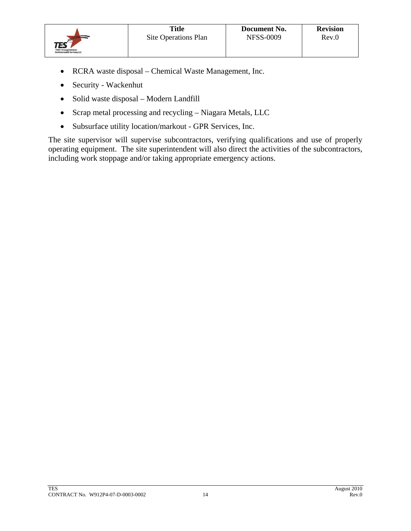

- RCRA waste disposal Chemical Waste Management, Inc.
- Security Wackenhut
- Solid waste disposal Modern Landfill
- Scrap metal processing and recycling Niagara Metals, LLC
- Subsurface utility location/markout GPR Services, Inc.

The site supervisor will supervise subcontractors, verifying qualifications and use of properly operating equipment. The site superintendent will also direct the activities of the subcontractors, including work stoppage and/or taking appropriate emergency actions.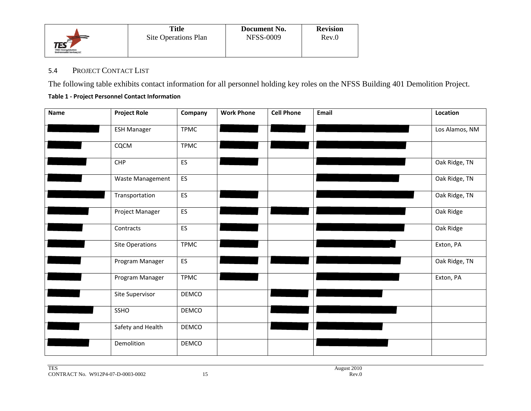

#### 5.4PROJECT CONTACT LIST

The following table exhibits contact information for all personnel holding key roles on the NFSS Building 401 Demolition Project.

#### **Table 1 ‐ Project Personnel Contact Information**

| Name | <b>Project Role</b>    | Company      | <b>Work Phone</b> | <b>Cell Phone</b> | Email | Location       |
|------|------------------------|--------------|-------------------|-------------------|-------|----------------|
|      | <b>ESH Manager</b>     | <b>TPMC</b>  |                   |                   |       | Los Alamos, NM |
|      | CQCM                   | <b>TPMC</b>  |                   |                   |       |                |
|      | CHP                    | ES           |                   |                   |       | Oak Ridge, TN  |
|      | Waste Management       | ES           |                   |                   |       | Oak Ridge, TN  |
|      | Transportation         | <b>ES</b>    |                   |                   |       | Oak Ridge, TN  |
|      | Project Manager        | ES           |                   |                   |       | Oak Ridge      |
|      | Contracts              | <b>ES</b>    |                   |                   |       | Oak Ridge      |
|      | <b>Site Operations</b> | <b>TPMC</b>  |                   |                   |       | Exton, PA      |
|      | Program Manager        | <b>ES</b>    |                   |                   |       | Oak Ridge, TN  |
|      | Program Manager        | <b>TPMC</b>  |                   |                   |       | Exton, PA      |
|      | Site Supervisor        | DEMCO        |                   |                   |       |                |
|      | SSHO                   | <b>DEMCO</b> |                   |                   |       |                |
|      | Safety and Health      | <b>DEMCO</b> |                   |                   |       |                |
|      | Demolition             | DEMCO        |                   |                   |       |                |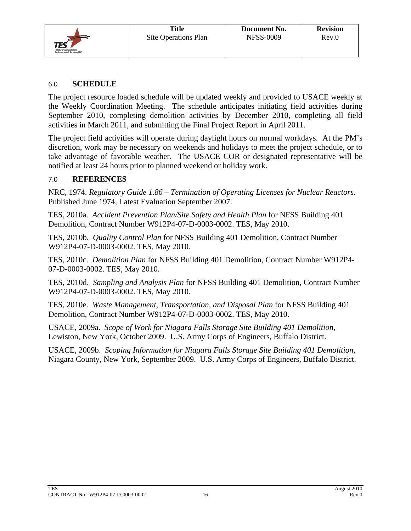

#### 6.0 **SCHEDULE**

The project resource loaded schedule will be updated weekly and provided to USACE weekly at the Weekly Coordination Meeting. The schedule anticipates initiating field activities during September 2010, completing demolition activities by December 2010, completing all field activities in March 2011, and submitting the Final Project Report in April 2011.

The project field activities will operate during daylight hours on normal workdays. At the PM's discretion, work may be necessary on weekends and holidays to meet the project schedule, or to take advantage of favorable weather. The USACE COR or designated representative will be notified at least 24 hours prior to planned weekend or holiday work.

#### 7.0 **REFERENCES**

NRC, 1974. *Regulatory Guide 1.86 – Termination of Operating Licenses for Nuclear Reactors.*  Published June 1974, Latest Evaluation September 2007.

TES, 2010a. *Accident Prevention Plan/Site Safety and Health Plan* for NFSS Building 401 Demolition, Contract Number W912P4-07-D-0003-0002. TES, May 2010.

TES, 2010b. *Quality Control Plan* for NFSS Building 401 Demolition, Contract Number W912P4-07-D-0003-0002. TES, May 2010.

TES, 2010c. *Demolition Plan* for NFSS Building 401 Demolition, Contract Number W912P4- 07-D-0003-0002. TES, May 2010.

TES, 2010d. *Sampling and Analysis Plan* for NFSS Building 401 Demolition, Contract Number W912P4-07-D-0003-0002. TES, May 2010.

TES, 2010e. *Waste Management, Transportation, and Disposal Plan* for NFSS Building 401 Demolition, Contract Number W912P4-07-D-0003-0002. TES, May 2010.

USACE, 2009a. *Scope of Work for Niagara Falls Storage Site Building 401 Demolition,* Lewiston, New York, October 2009. U.S. Army Corps of Engineers, Buffalo District.

USACE, 2009b. *Scoping Information for Niagara Falls Storage Site Building 401 Demolition,*  Niagara County, New York, September 2009. U.S. Army Corps of Engineers, Buffalo District.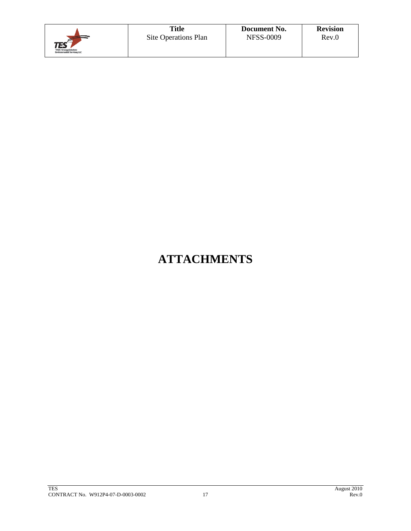|                                                                              | <b>Title</b>         | Document No.     | <b>Revision</b> |
|------------------------------------------------------------------------------|----------------------|------------------|-----------------|
| $\mathsf{TES}^{\leq}$<br>TPMC-Energyfinkeland<br>Environmental Services, LLC | Site Operations Plan | <b>NFSS-0009</b> | Rev.0           |

# **ATTACHMENTS**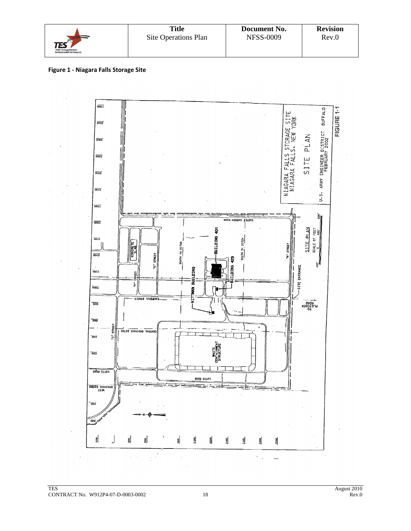|                                                                                     | <b>Title</b>         | Document No.     | <b>Revision</b> |
|-------------------------------------------------------------------------------------|----------------------|------------------|-----------------|
| $\mathsf{TES}^{\mathsf{SP}}$<br>TPMC-Energyfinkeland<br>Environmental Services, LLC | Site Operations Plan | <b>NFSS-0009</b> | Rev.0           |

#### **Figure 1 ‐ Niagara Falls Storage Site**

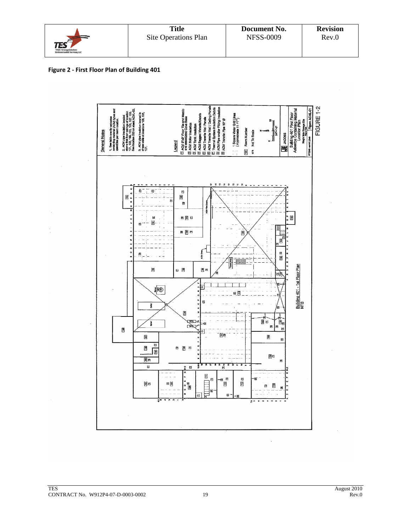|                                                                     | <b>Title</b>         | Document No.     | <b>Revision</b> |
|---------------------------------------------------------------------|----------------------|------------------|-----------------|
| $\text{TES}$<br>TPMC-Energyfinkeland<br>Environmental Services, LLC | Site Operations Plan | <b>NFSS-0009</b> | Rev.0           |



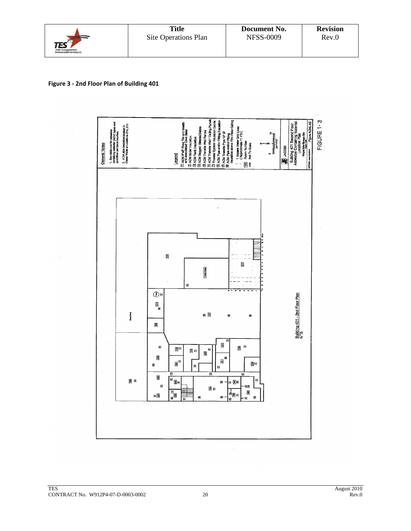|                                                                                | <b>Title</b>         | Document No.     | <b>Revision</b> |
|--------------------------------------------------------------------------------|----------------------|------------------|-----------------|
| <b>IES</b> <sup>e</sup><br>TPMC-Energyfinkeland<br>Environmental Services, LLC | Site Operations Plan | <b>NFSS-0009</b> | Rev.0           |

#### **Figure 3 ‐ 2nd Floor Plan of Building 401**

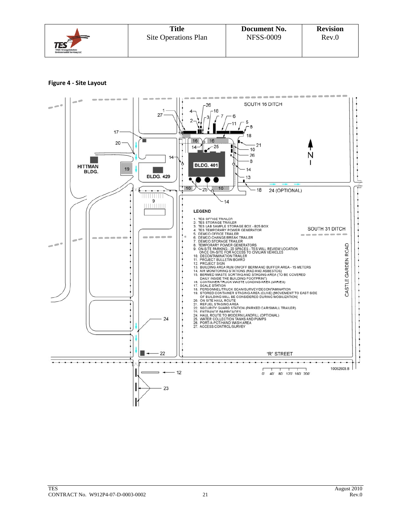|                                                                    | <b>Title</b>         | Document No.     | <b>Revision</b> |
|--------------------------------------------------------------------|----------------------|------------------|-----------------|
| <b>TES</b><br>TPMC-Energyfinhation:<br>Environmental Services, LLC | Site Operations Plan | <b>NFSS-0009</b> | Rev.0           |

#### **Figure 4 ‐ Site Layout**